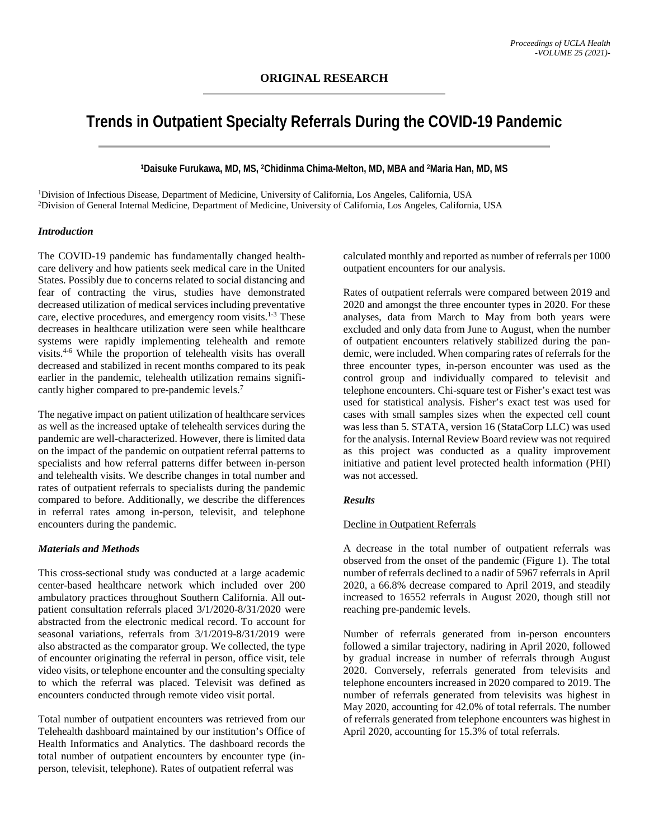# **Trends in Outpatient Specialty Referrals During the COVID-19 Pandemic**

# **1Daisuke Furukawa, MD, MS, 2Chidinma Chima-Melton, MD, MBA and 2Maria Han, MD, MS**

1Division of Infectious Disease, Department of Medicine, University of California, Los Angeles, California, USA 2Division of General Internal Medicine, Department of Medicine, University of California, Los Angeles, California, USA

# *Introduction*

The COVID-19 pandemic has fundamentally changed healthcare delivery and how patients seek medical care in the United States. Possibly due to concerns related to social distancing and fear of contracting the virus, studies have demonstrated decreased utilization of medical services including preventative care, elective procedures, and emergency room visits.<sup>1-3</sup> These decreases in healthcare utilization were seen while healthcare systems were rapidly implementing telehealth and remote visits. 4-6 While the proportion of telehealth visits has overall decreased and stabilized in recent months compared to its peak earlier in the pandemic, telehealth utilization remains significantly higher compared to pre-pandemic levels.7

The negative impact on patient utilization of healthcare services as well as the increased uptake of telehealth services during the pandemic are well-characterized. However, there is limited data on the impact of the pandemic on outpatient referral patterns to specialists and how referral patterns differ between in-person and telehealth visits. We describe changes in total number and rates of outpatient referrals to specialists during the pandemic compared to before. Additionally, we describe the differences in referral rates among in-person, televisit, and telephone encounters during the pandemic.

# *Materials and Methods*

This cross-sectional study was conducted at a large academic center-based healthcare network which included over 200 ambulatory practices throughout Southern California. All outpatient consultation referrals placed 3/1/2020-8/31/2020 were abstracted from the electronic medical record. To account for seasonal variations, referrals from 3/1/2019-8/31/2019 were also abstracted as the comparator group. We collected, the type of encounter originating the referral in person, office visit, tele video visits, or telephone encounter and the consulting specialty to which the referral was placed. Televisit was defined as encounters conducted through remote video visit portal.

Total number of outpatient encounters was retrieved from our Telehealth dashboard maintained by our institution's Office of Health Informatics and Analytics. The dashboard records the total number of outpatient encounters by encounter type (inperson, televisit, telephone). Rates of outpatient referral was

calculated monthly and reported as number of referrals per 1000 outpatient encounters for our analysis.

Rates of outpatient referrals were compared between 2019 and 2020 and amongst the three encounter types in 2020. For these analyses, data from March to May from both years were excluded and only data from June to August, when the number of outpatient encounters relatively stabilized during the pandemic, were included. When comparing rates of referrals for the three encounter types, in-person encounter was used as the control group and individually compared to televisit and telephone encounters. Chi-square test or Fisher's exact test was used for statistical analysis. Fisher's exact test was used for cases with small samples sizes when the expected cell count was less than 5. STATA, version 16 (StataCorp LLC) was used for the analysis. Internal Review Board review was not required as this project was conducted as a quality improvement initiative and patient level protected health information (PHI) was not accessed.

# *Results*

# Decline in Outpatient Referrals

A decrease in the total number of outpatient referrals was observed from the onset of the pandemic (Figure 1). The total number of referrals declined to a nadir of 5967 referrals in April 2020, a 66.8% decrease compared to April 2019, and steadily increased to 16552 referrals in August 2020, though still not reaching pre-pandemic levels.

Number of referrals generated from in-person encounters followed a similar trajectory, nadiring in April 2020, followed by gradual increase in number of referrals through August 2020. Conversely, referrals generated from televisits and telephone encounters increased in 2020 compared to 2019. The number of referrals generated from televisits was highest in May 2020, accounting for 42.0% of total referrals. The number of referrals generated from telephone encounters was highest in April 2020, accounting for 15.3% of total referrals.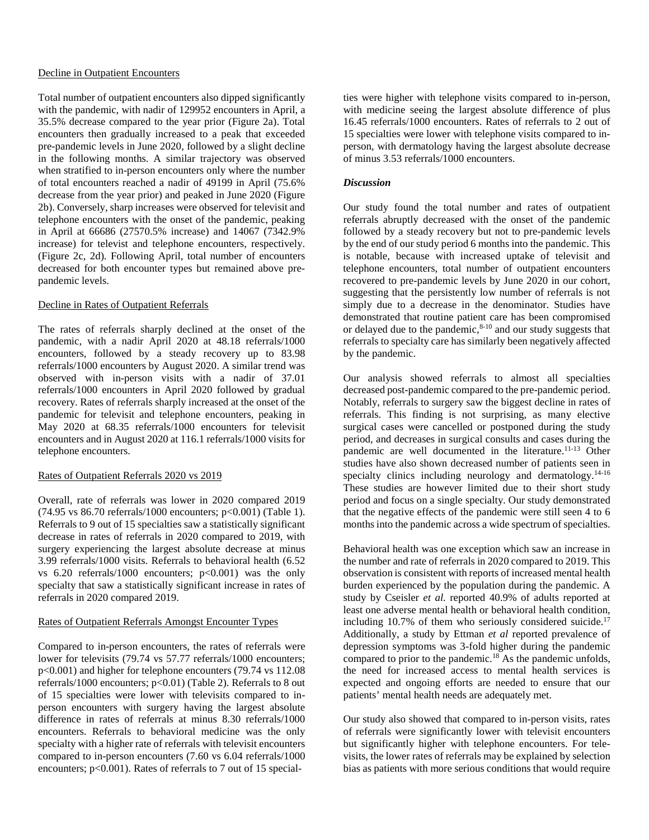# Decline in Outpatient Encounters

Total number of outpatient encounters also dipped significantly with the pandemic, with nadir of 129952 encounters in April, a 35.5% decrease compared to the year prior (Figure 2a). Total encounters then gradually increased to a peak that exceeded pre-pandemic levels in June 2020, followed by a slight decline in the following months. A similar trajectory was observed when stratified to in-person encounters only where the number of total encounters reached a nadir of 49199 in April (75.6% decrease from the year prior) and peaked in June 2020 (Figure 2b). Conversely, sharp increases were observed for televisit and telephone encounters with the onset of the pandemic, peaking in April at 66686 (27570.5% increase) and 14067 (7342.9% increase) for televist and telephone encounters, respectively. (Figure 2c, 2d). Following April, total number of encounters decreased for both encounter types but remained above prepandemic levels.

# Decline in Rates of Outpatient Referrals

The rates of referrals sharply declined at the onset of the pandemic, with a nadir April 2020 at 48.18 referrals/1000 encounters, followed by a steady recovery up to 83.98 referrals/1000 encounters by August 2020. A similar trend was observed with in-person visits with a nadir of 37.01 referrals/1000 encounters in April 2020 followed by gradual recovery. Rates of referrals sharply increased at the onset of the pandemic for televisit and telephone encounters, peaking in May 2020 at 68.35 referrals/1000 encounters for televisit encounters and in August 2020 at 116.1 referrals/1000 visits for telephone encounters.

#### Rates of Outpatient Referrals 2020 vs 2019

Overall, rate of referrals was lower in 2020 compared 2019 (74.95 vs 86.70 referrals/1000 encounters; p<0.001) (Table 1). Referrals to 9 out of 15 specialties saw a statistically significant decrease in rates of referrals in 2020 compared to 2019, with surgery experiencing the largest absolute decrease at minus 3.99 referrals/1000 visits. Referrals to behavioral health (6.52 vs  $6.20$  referrals/1000 encounters;  $p<0.001$ ) was the only specialty that saw a statistically significant increase in rates of referrals in 2020 compared 2019.

#### Rates of Outpatient Referrals Amongst Encounter Types

Compared to in-person encounters, the rates of referrals were lower for televisits (79.74 vs 57.77 referrals/1000 encounters; p<0.001) and higher for telephone encounters (79.74 vs 112.08 referrals/1000 encounters; p<0.01) (Table 2). Referrals to 8 out of 15 specialties were lower with televisits compared to inperson encounters with surgery having the largest absolute difference in rates of referrals at minus 8.30 referrals/1000 encounters. Referrals to behavioral medicine was the only specialty with a higher rate of referrals with televisit encounters compared to in-person encounters (7.60 vs 6.04 referrals/1000 encounters; p<0.001). Rates of referrals to 7 out of 15 special-

ties were higher with telephone visits compared to in-person, with medicine seeing the largest absolute difference of plus 16.45 referrals/1000 encounters. Rates of referrals to 2 out of 15 specialties were lower with telephone visits compared to inperson, with dermatology having the largest absolute decrease of minus 3.53 referrals/1000 encounters.

# *Discussion*

Our study found the total number and rates of outpatient referrals abruptly decreased with the onset of the pandemic followed by a steady recovery but not to pre-pandemic levels by the end of our study period 6 months into the pandemic. This is notable, because with increased uptake of televisit and telephone encounters, total number of outpatient encounters recovered to pre-pandemic levels by June 2020 in our cohort, suggesting that the persistently low number of referrals is not simply due to a decrease in the denominator. Studies have demonstrated that routine patient care has been compromised or delayed due to the pandemic,<sup>8-10</sup> and our study suggests that referrals to specialty care has similarly been negatively affected by the pandemic.

Our analysis showed referrals to almost all specialties decreased post-pandemic compared to the pre-pandemic period. Notably, referrals to surgery saw the biggest decline in rates of referrals. This finding is not surprising, as many elective surgical cases were cancelled or postponed during the study period, and decreases in surgical consults and cases during the pandemic are well documented in the literature.11-13 Other studies have also shown decreased number of patients seen in specialty clinics including neurology and dermatology.<sup>14-16</sup> These studies are however limited due to their short study period and focus on a single specialty. Our study demonstrated that the negative effects of the pandemic were still seen 4 to 6 months into the pandemic across a wide spectrum of specialties.

Behavioral health was one exception which saw an increase in the number and rate of referrals in 2020 compared to 2019. This observation is consistent with reports of increased mental health burden experienced by the population during the pandemic. A study by Cseisler *et al.* reported 40.9% of adults reported at least one adverse mental health or behavioral health condition, including 10.7% of them who seriously considered suicide.<sup>17</sup> Additionally, a study by Ettman *et al* reported prevalence of depression symptoms was 3-fold higher during the pandemic compared to prior to the pandemic.18 As the pandemic unfolds, the need for increased access to mental health services is expected and ongoing efforts are needed to ensure that our patients' mental health needs are adequately met.

Our study also showed that compared to in-person visits, rates of referrals were significantly lower with televisit encounters but significantly higher with telephone encounters. For televisits, the lower rates of referrals may be explained by selection bias as patients with more serious conditions that would require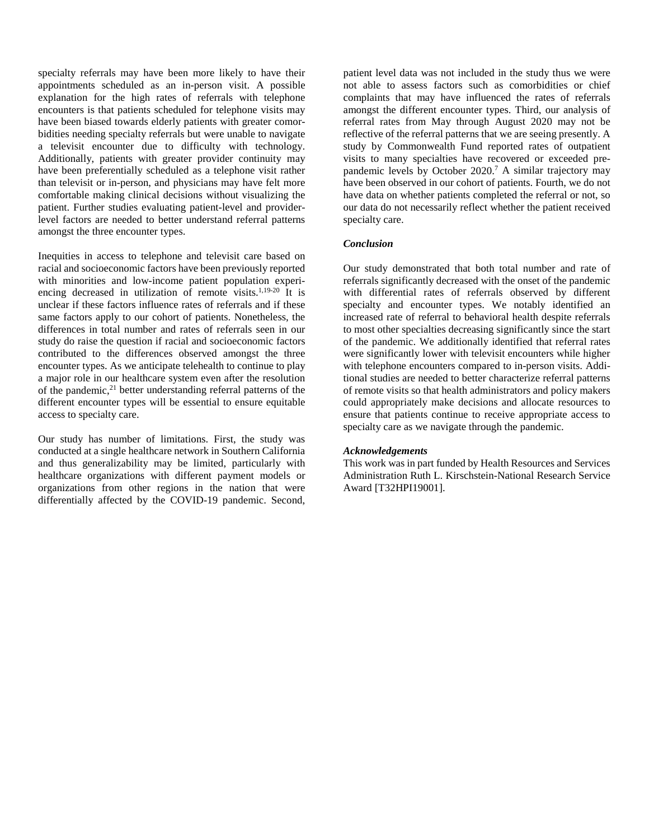specialty referrals may have been more likely to have their appointments scheduled as an in-person visit. A possible explanation for the high rates of referrals with telephone encounters is that patients scheduled for telephone visits may have been biased towards elderly patients with greater comorbidities needing specialty referrals but were unable to navigate a televisit encounter due to difficulty with technology. Additionally, patients with greater provider continuity may have been preferentially scheduled as a telephone visit rather than televisit or in-person, and physicians may have felt more comfortable making clinical decisions without visualizing the patient. Further studies evaluating patient-level and providerlevel factors are needed to better understand referral patterns amongst the three encounter types.

Inequities in access to telephone and televisit care based on racial and socioeconomic factors have been previously reported with minorities and low-income patient population experiencing decreased in utilization of remote visits.<sup>1,19-20</sup> It is unclear if these factors influence rates of referrals and if these same factors apply to our cohort of patients. Nonetheless, the differences in total number and rates of referrals seen in our study do raise the question if racial and socioeconomic factors contributed to the differences observed amongst the three encounter types. As we anticipate telehealth to continue to play a major role in our healthcare system even after the resolution of the pandemic, $21$  better understanding referral patterns of the different encounter types will be essential to ensure equitable access to specialty care.

Our study has number of limitations. First, the study was conducted at a single healthcare network in Southern California and thus generalizability may be limited, particularly with healthcare organizations with different payment models or organizations from other regions in the nation that were differentially affected by the COVID-19 pandemic. Second,

patient level data was not included in the study thus we were not able to assess factors such as comorbidities or chief complaints that may have influenced the rates of referrals amongst the different encounter types. Third, our analysis of referral rates from May through August 2020 may not be reflective of the referral patterns that we are seeing presently. A study by Commonwealth Fund reported rates of outpatient visits to many specialties have recovered or exceeded prepandemic levels by October 2020. <sup>7</sup> A similar trajectory may have been observed in our cohort of patients. Fourth, we do not have data on whether patients completed the referral or not, so our data do not necessarily reflect whether the patient received specialty care.

# *Conclusion*

Our study demonstrated that both total number and rate of referrals significantly decreased with the onset of the pandemic with differential rates of referrals observed by different specialty and encounter types. We notably identified an increased rate of referral to behavioral health despite referrals to most other specialties decreasing significantly since the start of the pandemic. We additionally identified that referral rates were significantly lower with televisit encounters while higher with telephone encounters compared to in-person visits. Additional studies are needed to better characterize referral patterns of remote visits so that health administrators and policy makers could appropriately make decisions and allocate resources to ensure that patients continue to receive appropriate access to specialty care as we navigate through the pandemic.

# *Acknowledgements*

This work was in part funded by Health Resources and Services Administration Ruth L. Kirschstein-National Research Service Award [T32HPI19001].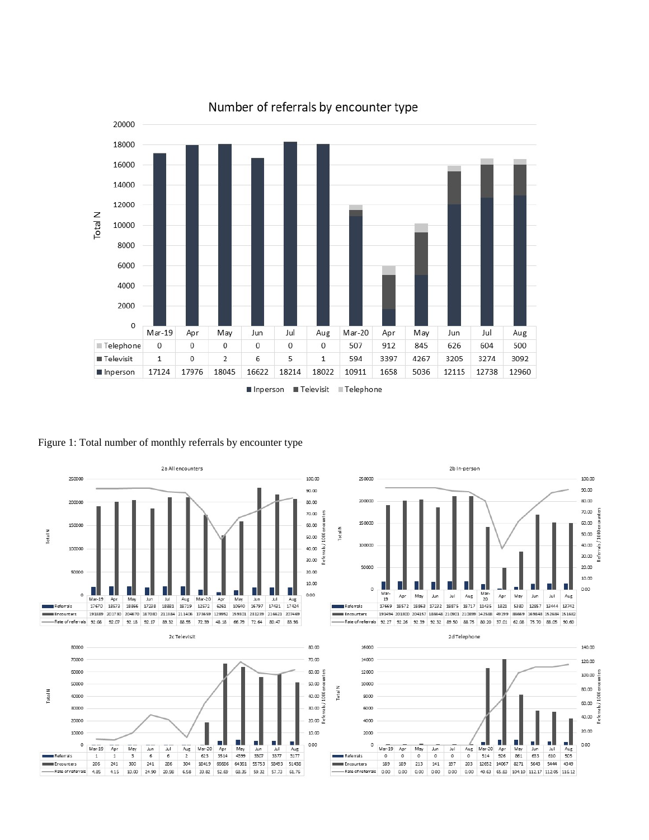

Number of referrals by encounter type

# Figure 1: Total number of monthly referrals by encounter type





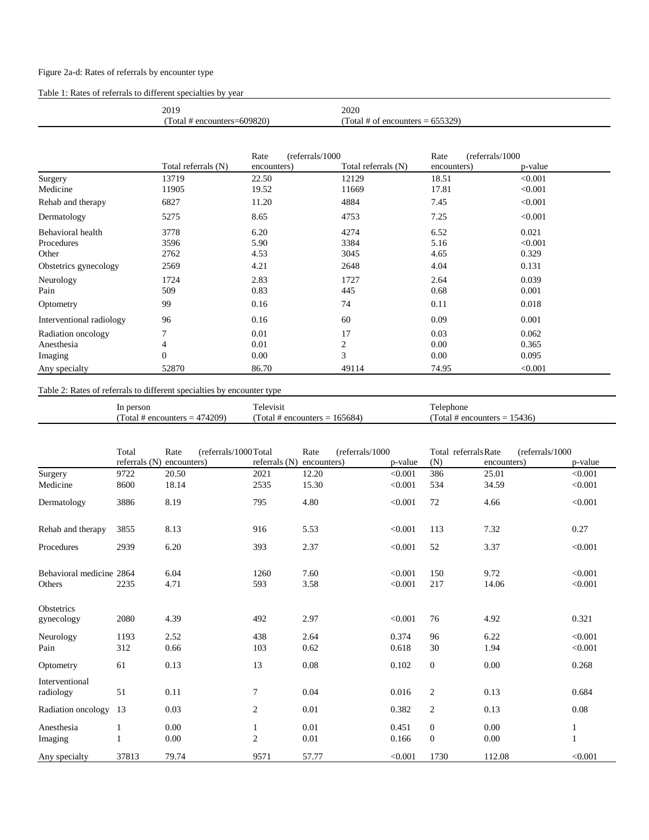# Figure 2a-d: Rates of referrals by encounter type

Table 1: Rates of referrals to different specialties by year

|                          |                                                                                                | 2019                                                                   | 2020        |                           |                                                            |             |                                              |         |  |
|--------------------------|------------------------------------------------------------------------------------------------|------------------------------------------------------------------------|-------------|---------------------------|------------------------------------------------------------|-------------|----------------------------------------------|---------|--|
|                          |                                                                                                | $(Total \# encounters=609820)$                                         |             |                           | (Total # of encounters = $655329$ )                        |             |                                              |         |  |
|                          |                                                                                                |                                                                        |             |                           |                                                            |             |                                              |         |  |
|                          |                                                                                                |                                                                        | Rate        | (referrals/1000           |                                                            |             | (referrals/1000                              |         |  |
|                          |                                                                                                | Total referrals (N)                                                    | encounters) |                           | Total referrals (N)                                        | encounters) | p-value                                      |         |  |
| Surgery                  |                                                                                                | 13719                                                                  | 22.50       | 12129                     |                                                            | 18.51       | < 0.001                                      |         |  |
| Medicine                 |                                                                                                | 11905                                                                  | 19.52       | 11669                     |                                                            | 17.81       | < 0.001                                      |         |  |
| Rehab and therapy        |                                                                                                | 6827                                                                   | 11.20       | 4884                      |                                                            | 7.45        | < 0.001                                      |         |  |
| Dermatology              |                                                                                                | 5275                                                                   | 8.65        | 4753                      |                                                            | 7.25        | < 0.001                                      |         |  |
| Behavioral health        |                                                                                                | 3778                                                                   | 6.20        | 4274                      |                                                            | 6.52        | 0.021                                        |         |  |
| Procedures               |                                                                                                | 3596                                                                   | 5.90        | 3384                      |                                                            | 5.16        | < 0.001                                      |         |  |
| Other                    |                                                                                                | 2762                                                                   | 4.53        | 3045                      |                                                            | 4.65        | 0.329                                        |         |  |
| Obstetrics gynecology    |                                                                                                | 2569                                                                   | 4.21        | 2648                      |                                                            | 4.04        | 0.131                                        |         |  |
| Neurology                |                                                                                                | 1724                                                                   | 2.83        | 1727                      |                                                            | 2.64        | 0.039                                        |         |  |
| Pain                     |                                                                                                | 509                                                                    | 0.83        | 445                       |                                                            | 0.68        | 0.001                                        |         |  |
| Optometry                |                                                                                                | 99                                                                     | 0.16        | 74                        |                                                            | 0.11        | 0.018                                        |         |  |
| Interventional radiology |                                                                                                | 96                                                                     | 0.16        | 60                        |                                                            | 0.09        | 0.001                                        |         |  |
| Radiation oncology       |                                                                                                | 7                                                                      | 0.01        | 17                        |                                                            | 0.03        | 0.062                                        |         |  |
| Anesthesia               |                                                                                                | $\overline{4}$                                                         | 0.01        | $\boldsymbol{2}$          |                                                            | 0.00        | 0.365                                        |         |  |
| Imaging                  |                                                                                                | $\overline{0}$                                                         | 0.00        | 3                         |                                                            | 0.00        | 0.095                                        |         |  |
| Any specialty            |                                                                                                | 52870                                                                  | 86.70       | 49114                     |                                                            | 74.95       | < 0.001                                      |         |  |
|                          |                                                                                                |                                                                        |             |                           |                                                            |             |                                              |         |  |
|                          |                                                                                                | Table 2: Rates of referrals to different specialties by encounter type |             |                           |                                                            |             |                                              |         |  |
|                          | Televisit<br>In person<br>(Total # encounters = $474209$ )<br>(Total # encounters = $165684$ ) |                                                                        |             |                           |                                                            |             | Telephone<br>(Total # encounters = $15436$ ) |         |  |
|                          |                                                                                                |                                                                        |             |                           |                                                            |             |                                              |         |  |
|                          | Total                                                                                          | (referrals/1000Total<br>Rate<br>Rate                                   |             |                           | Total referrals Rate<br>(referrals/1000<br>(referrals/1000 |             |                                              |         |  |
|                          | referrals $(N)$                                                                                | encounters)                                                            |             | referrals (N) encounters) | p-value                                                    | (N)         | encounters)                                  | p-value |  |
| Surgery                  | 9722                                                                                           | 20.50                                                                  | 2021        | 12.20                     | < 0.001                                                    | 386         | 25.01                                        | < 0.001 |  |
| Medicine                 | 8600                                                                                           | 18.14                                                                  | 2535        | 15.30                     | < 0.001                                                    | 534         | 34.59                                        | < 0.001 |  |

| Surgery<br>Medicine                | 9722<br>8600      | 20.50<br>18.14       | 2021<br>2535                   | 12.20<br>15.30 | < 0.001<br>< 0.001 | 386<br>534           | 25.01<br>34.59 | < 0.001<br>< 0.001           |
|------------------------------------|-------------------|----------------------|--------------------------------|----------------|--------------------|----------------------|----------------|------------------------------|
| Dermatology                        | 3886              | 8.19                 | 795                            | 4.80           | < 0.001            | 72                   | 4.66           | < 0.001                      |
| Rehab and therapy                  | 3855              | 8.13                 | 916                            | 5.53           | < 0.001            | 113                  | 7.32           | 0.27                         |
| Procedures                         | 2939              | 6.20                 | 393                            | 2.37           | < 0.001            | 52                   | 3.37           | < 0.001                      |
| Behavioral medicine 2864<br>Others | 2235              | 6.04<br>4.71         | 1260<br>593                    | 7.60<br>3.58   | < 0.001<br>< 0.001 | 150<br>217           | 9.72<br>14.06  | < 0.001<br>< 0.001           |
| Obstetrics<br>gynecology           | 2080              | 4.39                 | 492                            | 2.97           | < 0.001            | 76                   | 4.92           | 0.321                        |
| Neurology<br>Pain                  | 1193<br>312       | 2.52<br>0.66         | 438<br>103                     | 2.64<br>0.62   | 0.374<br>0.618     | 96<br>30             | 6.22<br>1.94   | < 0.001<br>< 0.001           |
| Optometry                          | 61                | 0.13                 | 13                             | 0.08           | 0.102              | $\overline{0}$       | 0.00           | 0.268                        |
| Interventional<br>radiology        | 51                | 0.11                 | 7                              | 0.04           | 0.016              | $\overline{c}$       | 0.13           | 0.684                        |
| Radiation oncology 13              |                   | 0.03                 | 2                              | 0.01           | 0.382              | $\overline{c}$       | 0.13           | 0.08                         |
| Anesthesia<br>Imaging              | $\mathbf{1}$<br>1 | $0.00\,$<br>$0.00\,$ | $\mathbf{1}$<br>$\overline{c}$ | 0.01<br>0.01   | 0.451<br>0.166     | $\theta$<br>$\theta$ | 0.00<br>0.00   | $\mathbf{1}$<br>$\mathbf{1}$ |
| Any specialty                      | 37813             | 79.74                | 9571                           | 57.77          | < 0.001            | 1730                 | 112.08         | < 0.001                      |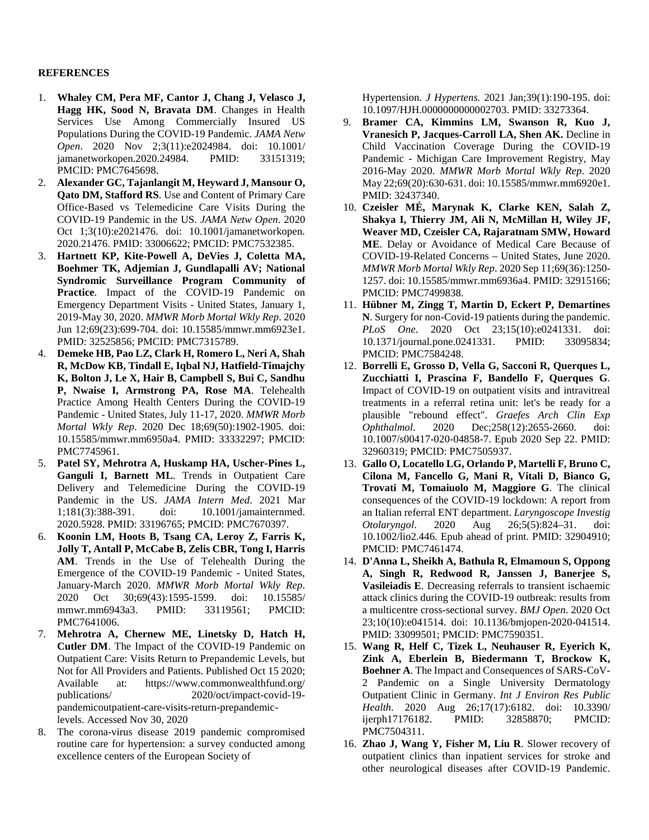# **REFERENCES**

- 1. **Whaley CM, Pera MF, Cantor J, Chang J, Velasco J, Hagg HK, Sood N, Bravata DM**. Changes in Health Services Use Among Commercially Insured US Populations During the COVID-19 Pandemic. *JAMA Netw Open*. 2020 Nov 2;3(11):e2024984. doi: 10.1001/ jamanetworkopen.2020.24984. PMID: 33151319; PMCID: PMC7645698.
- 2. **Alexander GC, Tajanlangit M, Heyward J, Mansour O, Qato DM, Stafford RS**. Use and Content of Primary Care Office-Based vs Telemedicine Care Visits During the COVID-19 Pandemic in the US. *JAMA Netw Open*. 2020 Oct 1;3(10):e2021476. doi: 10.1001/jamanetworkopen. 2020.21476. PMID: 33006622; PMCID: PMC7532385.
- 3. **Hartnett KP, Kite-Powell A, DeVies J, Coletta MA, Boehmer TK, Adjemian J, Gundlapalli AV; National Syndromic Surveillance Program Community of Practice**. Impact of the COVID-19 Pandemic on Emergency Department Visits - United States, January 1, 2019-May 30, 2020. *MMWR Morb Mortal Wkly Rep*. 2020 Jun 12;69(23):699-704. doi: 10.15585/mmwr.mm6923e1. PMID: 32525856; PMCID: PMC7315789.
- 4. **Demeke HB, Pao LZ, Clark H, Romero L, Neri A, Shah R, McDow KB, Tindall E, Iqbal NJ, Hatfield-Timajchy K, Bolton J, Le X, Hair B, Campbell S, Bui C, Sandhu P, Nwaise I, Armstrong PA, Rose MA**. Telehealth Practice Among Health Centers During the COVID-19 Pandemic - United States, July 11-17, 2020. *MMWR Morb Mortal Wkly Rep*. 2020 Dec 18;69(50):1902-1905. doi: 10.15585/mmwr.mm6950a4. PMID: 33332297; PMCID: PMC7745961.
- 5. **Patel SY, Mehrotra A, Huskamp HA, Uscher-Pines L, Ganguli I, Barnett ML**. Trends in Outpatient Care Delivery and Telemedicine During the COVID-19 Pandemic in the US. *JAMA Intern Med*. 2021 Mar 1;181(3):388-391. doi: 10.1001/jamainternmed. 2020.5928. PMID: 33196765; PMCID: PMC7670397.
- 6. **Koonin LM, Hoots B, Tsang CA, Leroy Z, Farris K, Jolly T, Antall P, McCabe B, Zelis CBR, Tong I, Harris AM**. Trends in the Use of Telehealth During the Emergence of the COVID-19 Pandemic - United States, January-March 2020. *MMWR Morb Mortal Wkly Rep*. 2020 Oct 30;69(43):1595-1599. doi: 10.15585/ mmwr.mm6943a3. PMID: 33119561; PMCID: PMC7641006.
- 7. **Mehrotra A, Chernew ME, Linetsky D, Hatch H, Cutler DM**. The Impact of the COVID-19 Pandemic on Outpatient Care: Visits Return to Prepandemic Levels, but Not for All Providers and Patients. Published Oct 15 2020; Available at: https://www.commonwealthfund.org/ publications/ 2020/oct/impact-covid-19 pandemicoutpatient-care-visits-return-prepandemiclevels. Accessed Nov 30, 2020
- 8. The corona-virus disease 2019 pandemic compromised routine care for hypertension: a survey conducted among excellence centers of the European Society of

Hypertension. *J Hypertens.* 2021 Jan;39(1):190-195. doi: 10.1097/HJH.0000000000002703. PMID: 33273364.

- 9. **Bramer CA, Kimmins LM, Swanson R, Kuo J, Vranesich P, Jacques-Carroll LA, Shen AK.** Decline in Child Vaccination Coverage During the COVID-19 Pandemic - Michigan Care Improvement Registry, May 2016-May 2020. *MMWR Morb Mortal Wkly Rep*. 2020 May 22;69(20):630-631. doi: 10.15585/mmwr.mm6920e1. PMID: 32437340.
- 10. **Czeisler MÉ, Marynak K, Clarke KEN, Salah Z, Shakya I, Thierry JM, Ali N, McMillan H, Wiley JF, Weaver MD, Czeisler CA, Rajaratnam SMW, Howard ME**. Delay or Avoidance of Medical Care Because of COVID-19-Related Concerns – United States, June 2020. *MMWR Morb Mortal Wkly Rep*. 2020 Sep 11;69(36):1250- 1257. doi: 10.15585/mmwr.mm6936a4. PMID: 32915166; PMCID: PMC7499838.
- 11. **Hübner M, Zingg T, Martin D, Eckert P, Demartines N**. Surgery for non-Covid-19 patients during the pandemic. *PLoS One*. 2020 Oct 23;15(10):e0241331. doi: 10.1371/journal.pone.0241331. PMID: 33095834; PMCID: PMC7584248.
- 12. **Borrelli E, Grosso D, Vella G, Sacconi R, Querques L, Zucchiatti I, Prascina F, Bandello F, Querques G**. Impact of COVID-19 on outpatient visits and intravitreal treatments in a referral retina unit: let's be ready for a plausible "rebound effect". *Graefes Arch Clin Exp Ophthalmol.* 2020 Dec;258(12):2655-2660. doi: 10.1007/s00417-020-04858-7. Epub 2020 Sep 22. PMID: 32960319; PMCID: PMC7505937.
- 13. **Gallo O, Locatello LG, Orlando P, Martelli F, Bruno C, Cilona M, Fancello G, Mani R, Vitali D, Bianco G, Trovati M, Tomaiuolo M, Maggiore G**. The clinical consequences of the COVID-19 lockdown: A report from an Italian referral ENT department. *Laryngoscope Investig Otolaryngol*. 2020 Aug 26;5(5):824–31. doi: 10.1002/lio2.446. Epub ahead of print. PMID: 32904910; PMCID: PMC7461474.
- 14. **D'Anna L, Sheikh A, Bathula R, Elmamoun S, Oppong A, Singh R, Redwood R, Janssen J, Banerjee S, Vasileiadis E**. Decreasing referrals to transient ischaemic attack clinics during the COVID-19 outbreak: results from a multicentre cross-sectional survey. *BMJ Open*. 2020 Oct 23;10(10):e041514. doi: 10.1136/bmjopen-2020-041514. PMID: 33099501; PMCID: PMC7590351.
- 15. **Wang R, Helf C, Tizek L, Neuhauser R, Eyerich K, Zink A, Eberlein B, Biedermann T, Brockow K, Boehner A**. The Impact and Consequences of SARS-CoV-2 Pandemic on a Single University Dermatology Outpatient Clinic in Germany. *Int J Environ Res Public Health.* 2020 Aug 26;17(17):6182. doi: 10.3390/ ijerph17176182. PMID: 32858870; PMCID: PMC7504311.
- 16. **Zhao J, Wang Y, Fisher M, Liu R**. Slower recovery of outpatient clinics than inpatient services for stroke and other neurological diseases after COVID-19 Pandemic.